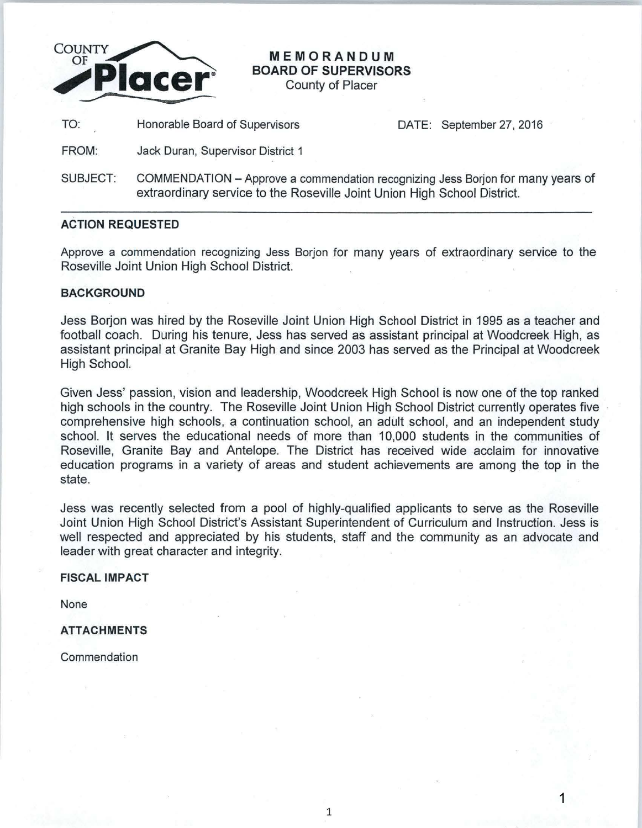

# **MEMORANDUM BOARD OF SUPERVISORS**

County of Placer

TO: Honorable Board of Supervisors DATE: September 27, 2016

1

FROM: Jack Duran, Supervisor District 1

SUBJECT: COMMENDATION- Approve a commendation recognizing Jess Borjon for many years of extraordinary service to the Roseville Joint Union High School District.

## **ACTION REQUESTED**

Approve a commendation recognizing Jess Borjon for many years of extraordinary service to the Roseville Joint Union High School District.

## **BACKGROUND**

Jess Borjon was hired by the Roseville Joint Union High School District in 1995 as a teacher and football coach. During his tenure, Jess has served as assistant principal at Woodcreek High, as assistant principal at Granite Bay High and since 2003 has served as the Principal at Woodcreek High School.

Given Jess' passion, vision and leadership, Woodcreek High School is now one of the top ranked high schools in the country. The Roseville Joint Union High School District currently operates five comprehensive high schools, a continuation school, an adult school, and an independent study school. It serves the educational needs of more than 10,000 students in the communities of Roseville, Granite Bay and Antelope. The District has received wide acclaim for innovative education programs in a variety of areas and student achievements are among the top in the state.

Jess was recently selected from a pool of highly-qualified applicants to serve as the Roseville Joint Union High School District's Assistant Superintendent of Curriculum and Instruction. Jess is well respected and appreciated by his students, staff and the community as an advocate and leader with great character and integrity.

### **FISCAL IMPACT**

None

## **ATTACHMENTS**

**Commendation** 

1